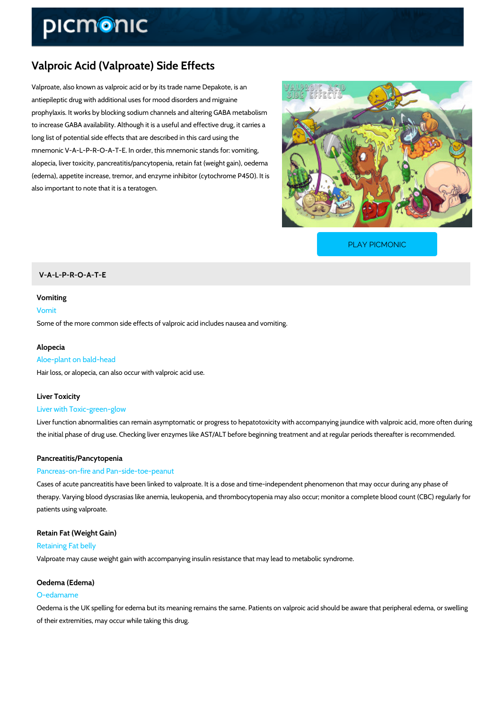# Valproic Acid (Valproate) Side Effects

Valproate, also known as valproic acid or by its trade name Depakote, is an antiepileptic drug with additional uses for mood disorders and migraine prophylaxis. It works by blocking sodium channels and altering GABA metabolism to increase GABA availability. Although it is a useful and effective drug, it carries a long list of potential side effects that are described in this card using the mnemonic V-A-L-P-R-O-A-T-E. In order, this mnemonic stands for: vomiting, alopecia, liver toxicity, pancreatitis/pancytopenia, retain fat (weight gain), oedema (edema), appetite increase, tremor, and enzyme inhibitor (cytochrome P450). It is also important to note that it is a teratogen.

[PLAY PICMONIC](https://www.picmonic.com/learn/valproic-acid-valproate-side-effects_2344?utm_source=downloadable_content&utm_medium=distributedcontent&utm_campaign=pathways_pdf&utm_content=Valproic Acid (Valproate) Side Effects&utm_ad_group=leads&utm_market=all)

## V-A-L-P-R-O-A-T-E

#### Vomiting

## Vomit

Some of the more common side effects of valproic acid includes nausea and vomiting.

#### Alopecia

#### Aloe-plant on bald-head

Hair loss, or alopecia, can also occur with valproic acid use.

#### Liver Toxicity

#### Liver with Toxic-green-glow

Liver function abnormalities can remain asymptomatic or progress to hepatotoxicity with accor the initial phase of drug use. Checking liver enzymes like AST/ALT before beginning treatmen

#### Pancreatitis/Pancytopenia

#### Pancreas-on-fire and Pan-side-toe-peanut

Cases of acute pancreatitis have been linked to valproate. It is a dose and time-independent therapy. Varying blood dyscrasias like anemia, leukopenia, and thrombocytopenia may also oc patients using valproate.

Retain Fat (Weight Gain) Retaining Fat belly Valproate may cause weight gain with accompanying insulin resistance that may lead to metab

## Oedema (Edema)

#### O-edamame

Oedema is the UK spelling for edema but its meaning remains the same. Patients on valproic and of their extremities, may occur while taking this drug.